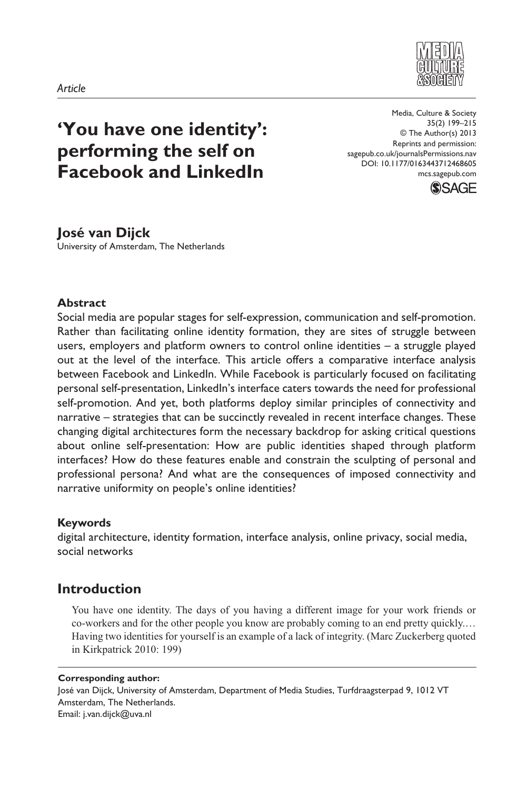

# **'You have one identity': performing the self on Facebook and LinkedIn**

Media, Culture & Society 35(2) 199–215 © The Author(s) 2013 Reprints and permission: sagepub.co.uk/journalsPermissions.nav DOI: 10.1177/0163443712468605 mcs.sagepub.com



**José van Dijck** University of Amsterdam, The Netherlands

#### **Abstract**

Social media are popular stages for self-expression, communication and self-promotion. Rather than facilitating online identity formation, they are sites of struggle between users, employers and platform owners to control online identities – a struggle played out at the level of the interface. This article offers a comparative interface analysis between Facebook and LinkedIn. While Facebook is particularly focused on facilitating personal self-presentation, LinkedIn's interface caters towards the need for professional self-promotion. And yet, both platforms deploy similar principles of connectivity and narrative – strategies that can be succinctly revealed in recent interface changes. These changing digital architectures form the necessary backdrop for asking critical questions about online self-presentation: How are public identities shaped through platform interfaces? How do these features enable and constrain the sculpting of personal and professional persona? And what are the consequences of imposed connectivity and narrative uniformity on people's online identities?

#### **Keywords**

digital architecture, identity formation, interface analysis, online privacy, social media, social networks

## **Introduction**

You have one identity. The days of you having a different image for your work friends or co-workers and for the other people you know are probably coming to an end pretty quickly.… Having two identities for yourself is an example of a lack of integrity. (Marc Zuckerberg quoted in Kirkpatrick 2010: 199)

**Corresponding author:** José van Dijck, University of Amsterdam, Department of Media Studies, Turfdraagsterpad 9, 1012 VT Amsterdam, The Netherlands. Email: j.van.dijck@uva.nl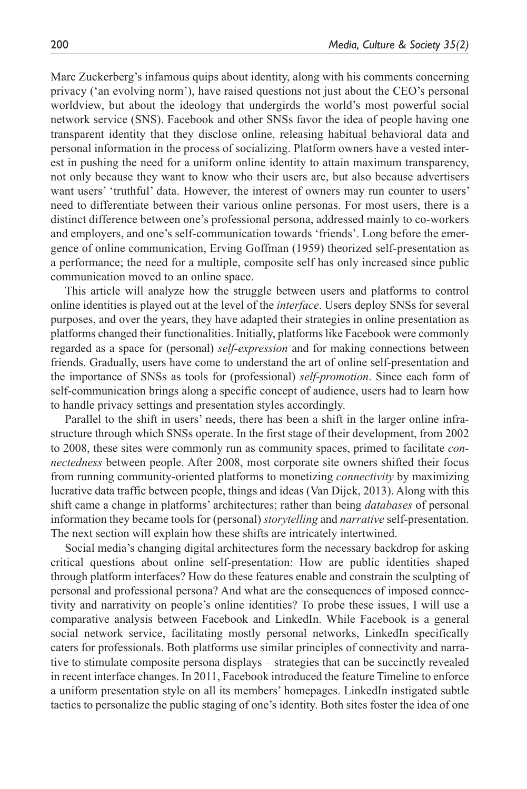Marc Zuckerberg's infamous quips about identity, along with his comments concerning privacy ('an evolving norm'), have raised questions not just about the CEO's personal worldview, but about the ideology that undergirds the world's most powerful social network service (SNS). Facebook and other SNSs favor the idea of people having one transparent identity that they disclose online, releasing habitual behavioral data and personal information in the process of socializing. Platform owners have a vested interest in pushing the need for a uniform online identity to attain maximum transparency, not only because they want to know who their users are, but also because advertisers want users' 'truthful' data. However, the interest of owners may run counter to users' need to differentiate between their various online personas. For most users, there is a distinct difference between one's professional persona, addressed mainly to co-workers and employers, and one's self-communication towards 'friends'. Long before the emergence of online communication, Erving Goffman (1959) theorized self-presentation as a performance; the need for a multiple, composite self has only increased since public communication moved to an online space.

This article will analyze how the struggle between users and platforms to control online identities is played out at the level of the *interface*. Users deploy SNSs for several purposes, and over the years, they have adapted their strategies in online presentation as platforms changed their functionalities. Initially, platforms like Facebook were commonly regarded as a space for (personal) *self-expression* and for making connections between friends. Gradually, users have come to understand the art of online self-presentation and the importance of SNSs as tools for (professional) *self-promotion*. Since each form of self-communication brings along a specific concept of audience, users had to learn how to handle privacy settings and presentation styles accordingly.

Parallel to the shift in users' needs, there has been a shift in the larger online infrastructure through which SNSs operate. In the first stage of their development, from 2002 to 2008, these sites were commonly run as community spaces, primed to facilitate *connectedness* between people. After 2008, most corporate site owners shifted their focus from running community-oriented platforms to monetizing *connectivity* by maximizing lucrative data traffic between people, things and ideas (Van Dijck, 2013). Along with this shift came a change in platforms' architectures; rather than being *databases* of personal information they became tools for (personal) *storytelling* and *narrative* self-presentation. The next section will explain how these shifts are intricately intertwined.

Social media's changing digital architectures form the necessary backdrop for asking critical questions about online self-presentation: How are public identities shaped through platform interfaces? How do these features enable and constrain the sculpting of personal and professional persona? And what are the consequences of imposed connectivity and narrativity on people's online identities? To probe these issues, I will use a comparative analysis between Facebook and LinkedIn. While Facebook is a general social network service, facilitating mostly personal networks, LinkedIn specifically caters for professionals. Both platforms use similar principles of connectivity and narrative to stimulate composite persona displays – strategies that can be succinctly revealed in recent interface changes. In 2011, Facebook introduced the feature Timeline to enforce a uniform presentation style on all its members' homepages. LinkedIn instigated subtle tactics to personalize the public staging of one's identity. Both sites foster the idea of one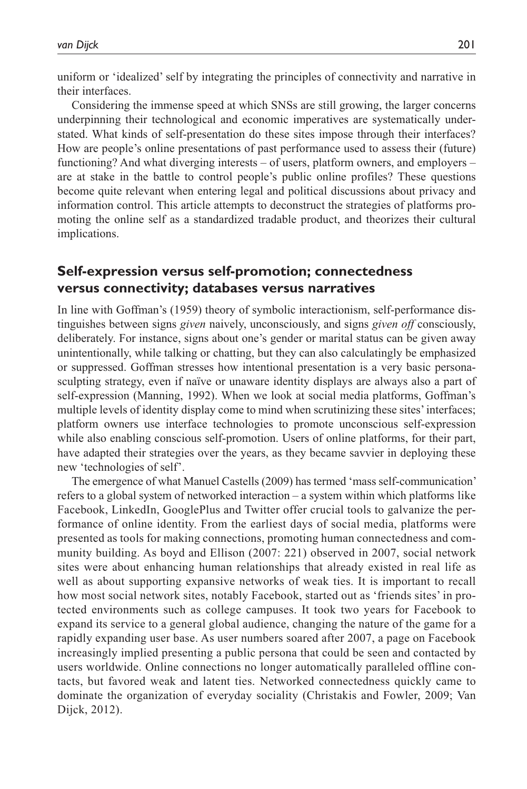uniform or 'idealized' self by integrating the principles of connectivity and narrative in their interfaces.

Considering the immense speed at which SNSs are still growing, the larger concerns underpinning their technological and economic imperatives are systematically understated. What kinds of self-presentation do these sites impose through their interfaces? How are people's online presentations of past performance used to assess their (future) functioning? And what diverging interests – of users, platform owners, and employers – are at stake in the battle to control people's public online profiles? These questions become quite relevant when entering legal and political discussions about privacy and information control. This article attempts to deconstruct the strategies of platforms promoting the online self as a standardized tradable product, and theorizes their cultural implications.

# **Self-expression versus self-promotion; connectedness versus connectivity; databases versus narratives**

In line with Goffman's (1959) theory of symbolic interactionism, self-performance distinguishes between signs *given* naively, unconsciously, and signs *given off* consciously, deliberately. For instance, signs about one's gender or marital status can be given away unintentionally, while talking or chatting, but they can also calculatingly be emphasized or suppressed. Goffman stresses how intentional presentation is a very basic personasculpting strategy, even if naïve or unaware identity displays are always also a part of self-expression (Manning, 1992). When we look at social media platforms, Goffman's multiple levels of identity display come to mind when scrutinizing these sites' interfaces; platform owners use interface technologies to promote unconscious self-expression while also enabling conscious self-promotion. Users of online platforms, for their part, have adapted their strategies over the years, as they became savvier in deploying these new 'technologies of self'.

The emergence of what Manuel Castells (2009) has termed 'mass self-communication' refers to a global system of networked interaction – a system within which platforms like Facebook, LinkedIn, GooglePlus and Twitter offer crucial tools to galvanize the performance of online identity. From the earliest days of social media, platforms were presented as tools for making connections, promoting human connectedness and community building. As boyd and Ellison (2007: 221) observed in 2007, social network sites were about enhancing human relationships that already existed in real life as well as about supporting expansive networks of weak ties. It is important to recall how most social network sites, notably Facebook, started out as 'friends sites' in protected environments such as college campuses. It took two years for Facebook to expand its service to a general global audience, changing the nature of the game for a rapidly expanding user base. As user numbers soared after 2007, a page on Facebook increasingly implied presenting a public persona that could be seen and contacted by users worldwide. Online connections no longer automatically paralleled offline contacts, but favored weak and latent ties. Networked connectedness quickly came to dominate the organization of everyday sociality (Christakis and Fowler, 2009; Van Dijck, 2012).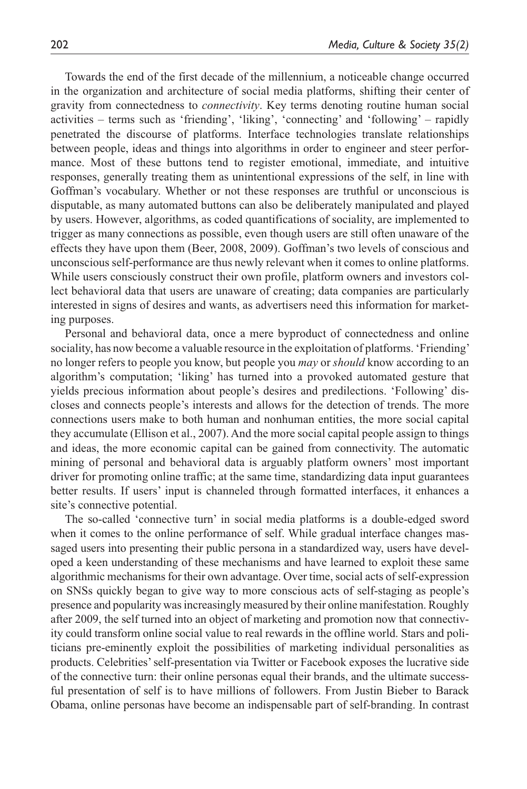Towards the end of the first decade of the millennium, a noticeable change occurred in the organization and architecture of social media platforms, shifting their center of gravity from connectedness to *connectivity*. Key terms denoting routine human social activities – terms such as 'friending', 'liking', 'connecting' and 'following' – rapidly penetrated the discourse of platforms. Interface technologies translate relationships between people, ideas and things into algorithms in order to engineer and steer performance. Most of these buttons tend to register emotional, immediate, and intuitive responses, generally treating them as unintentional expressions of the self, in line with Goffman's vocabulary. Whether or not these responses are truthful or unconscious is disputable, as many automated buttons can also be deliberately manipulated and played by users. However, algorithms, as coded quantifications of sociality, are implemented to trigger as many connections as possible, even though users are still often unaware of the effects they have upon them (Beer, 2008, 2009). Goffman's two levels of conscious and unconscious self-performance are thus newly relevant when it comes to online platforms. While users consciously construct their own profile, platform owners and investors collect behavioral data that users are unaware of creating; data companies are particularly interested in signs of desires and wants, as advertisers need this information for marketing purposes.

Personal and behavioral data, once a mere byproduct of connectedness and online sociality, has now become a valuable resource in the exploitation of platforms. 'Friending' no longer refers to people you know, but people you *may* or *should* know according to an algorithm's computation; 'liking' has turned into a provoked automated gesture that yields precious information about people's desires and predilections. 'Following' discloses and connects people's interests and allows for the detection of trends. The more connections users make to both human and nonhuman entities, the more social capital they accumulate (Ellison et al., 2007). And the more social capital people assign to things and ideas, the more economic capital can be gained from connectivity. The automatic mining of personal and behavioral data is arguably platform owners' most important driver for promoting online traffic; at the same time, standardizing data input guarantees better results. If users' input is channeled through formatted interfaces, it enhances a site's connective potential.

The so-called 'connective turn' in social media platforms is a double-edged sword when it comes to the online performance of self. While gradual interface changes massaged users into presenting their public persona in a standardized way, users have developed a keen understanding of these mechanisms and have learned to exploit these same algorithmic mechanisms for their own advantage. Over time, social acts of self-expression on SNSs quickly began to give way to more conscious acts of self-staging as people's presence and popularity was increasingly measured by their online manifestation. Roughly after 2009, the self turned into an object of marketing and promotion now that connectivity could transform online social value to real rewards in the offline world. Stars and politicians pre-eminently exploit the possibilities of marketing individual personalities as products. Celebrities' self-presentation via Twitter or Facebook exposes the lucrative side of the connective turn: their online personas equal their brands, and the ultimate successful presentation of self is to have millions of followers. From Justin Bieber to Barack Obama, online personas have become an indispensable part of self-branding. In contrast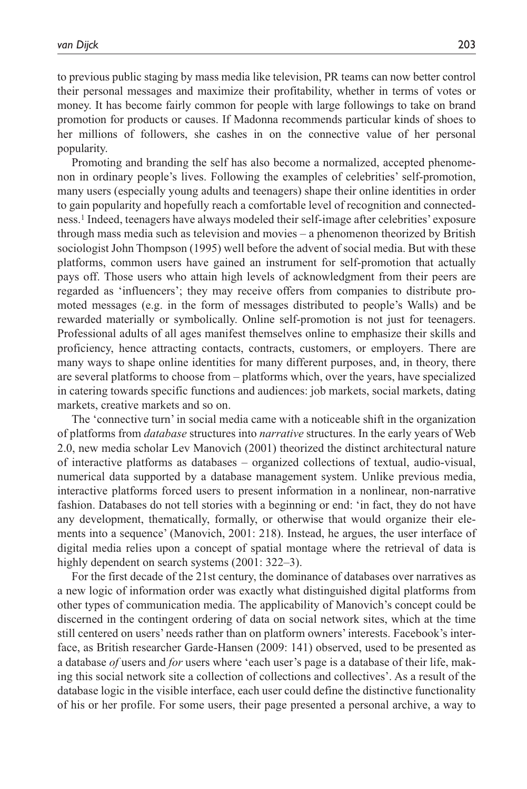to previous public staging by mass media like television, PR teams can now better control their personal messages and maximize their profitability, whether in terms of votes or money. It has become fairly common for people with large followings to take on brand promotion for products or causes. If Madonna recommends particular kinds of shoes to her millions of followers, she cashes in on the connective value of her personal popularity.

Promoting and branding the self has also become a normalized, accepted phenomenon in ordinary people's lives. Following the examples of celebrities' self-promotion, many users (especially young adults and teenagers) shape their online identities in order to gain popularity and hopefully reach a comfortable level of recognition and connectedness.1 Indeed, teenagers have always modeled their self-image after celebrities' exposure through mass media such as television and movies – a phenomenon theorized by British sociologist John Thompson (1995) well before the advent of social media. But with these platforms, common users have gained an instrument for self-promotion that actually pays off. Those users who attain high levels of acknowledgment from their peers are regarded as 'influencers'; they may receive offers from companies to distribute promoted messages (e.g. in the form of messages distributed to people's Walls) and be rewarded materially or symbolically. Online self-promotion is not just for teenagers. Professional adults of all ages manifest themselves online to emphasize their skills and proficiency, hence attracting contacts, contracts, customers, or employers. There are many ways to shape online identities for many different purposes, and, in theory, there are several platforms to choose from – platforms which, over the years, have specialized in catering towards specific functions and audiences: job markets, social markets, dating markets, creative markets and so on.

The 'connective turn' in social media came with a noticeable shift in the organization of platforms from *database* structures into *narrative* structures. In the early years of Web 2.0, new media scholar Lev Manovich (2001) theorized the distinct architectural nature of interactive platforms as databases – organized collections of textual, audio-visual, numerical data supported by a database management system. Unlike previous media, interactive platforms forced users to present information in a nonlinear, non-narrative fashion. Databases do not tell stories with a beginning or end: 'in fact, they do not have any development, thematically, formally, or otherwise that would organize their elements into a sequence' (Manovich, 2001: 218). Instead, he argues, the user interface of digital media relies upon a concept of spatial montage where the retrieval of data is highly dependent on search systems (2001: 322–3).

For the first decade of the 21st century, the dominance of databases over narratives as a new logic of information order was exactly what distinguished digital platforms from other types of communication media. The applicability of Manovich's concept could be discerned in the contingent ordering of data on social network sites, which at the time still centered on users' needs rather than on platform owners' interests. Facebook's interface, as British researcher Garde-Hansen (2009: 141) observed, used to be presented as a database *of* users and *for* users where 'each user's page is a database of their life, making this social network site a collection of collections and collectives'. As a result of the database logic in the visible interface, each user could define the distinctive functionality of his or her profile. For some users, their page presented a personal archive, a way to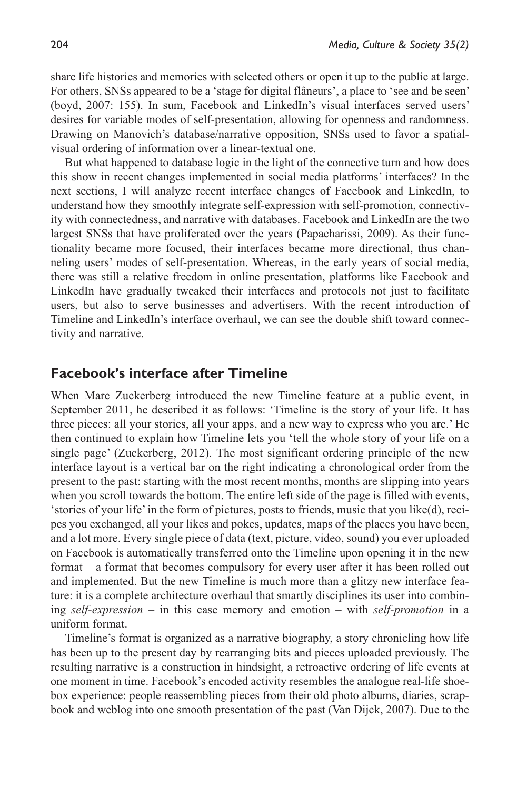share life histories and memories with selected others or open it up to the public at large. For others, SNSs appeared to be a 'stage for digital flâneurs', a place to 'see and be seen' (boyd, 2007: 155). In sum, Facebook and LinkedIn's visual interfaces served users' desires for variable modes of self-presentation, allowing for openness and randomness. Drawing on Manovich's database/narrative opposition, SNSs used to favor a spatialvisual ordering of information over a linear-textual one.

But what happened to database logic in the light of the connective turn and how does this show in recent changes implemented in social media platforms' interfaces? In the next sections, I will analyze recent interface changes of Facebook and LinkedIn, to understand how they smoothly integrate self-expression with self-promotion, connectivity with connectedness, and narrative with databases. Facebook and LinkedIn are the two largest SNSs that have proliferated over the years (Papacharissi, 2009). As their functionality became more focused, their interfaces became more directional, thus channeling users' modes of self-presentation. Whereas, in the early years of social media, there was still a relative freedom in online presentation, platforms like Facebook and LinkedIn have gradually tweaked their interfaces and protocols not just to facilitate users, but also to serve businesses and advertisers. With the recent introduction of Timeline and LinkedIn's interface overhaul, we can see the double shift toward connectivity and narrative.

#### **Facebook's interface after Timeline**

When Marc Zuckerberg introduced the new Timeline feature at a public event, in September 2011, he described it as follows: 'Timeline is the story of your life. It has three pieces: all your stories, all your apps, and a new way to express who you are.' He then continued to explain how Timeline lets you 'tell the whole story of your life on a single page' (Zuckerberg, 2012). The most significant ordering principle of the new interface layout is a vertical bar on the right indicating a chronological order from the present to the past: starting with the most recent months, months are slipping into years when you scroll towards the bottom. The entire left side of the page is filled with events, 'stories of your life' in the form of pictures, posts to friends, music that you like(d), recipes you exchanged, all your likes and pokes, updates, maps of the places you have been, and a lot more. Every single piece of data (text, picture, video, sound) you ever uploaded on Facebook is automatically transferred onto the Timeline upon opening it in the new format – a format that becomes compulsory for every user after it has been rolled out and implemented. But the new Timeline is much more than a glitzy new interface feature: it is a complete architecture overhaul that smartly disciplines its user into combining *self-expression* – in this case memory and emotion – with *self-promotion* in a uniform format.

Timeline's format is organized as a narrative biography, a story chronicling how life has been up to the present day by rearranging bits and pieces uploaded previously. The resulting narrative is a construction in hindsight, a retroactive ordering of life events at one moment in time. Facebook's encoded activity resembles the analogue real-life shoebox experience: people reassembling pieces from their old photo albums, diaries, scrapbook and weblog into one smooth presentation of the past (Van Dijck, 2007). Due to the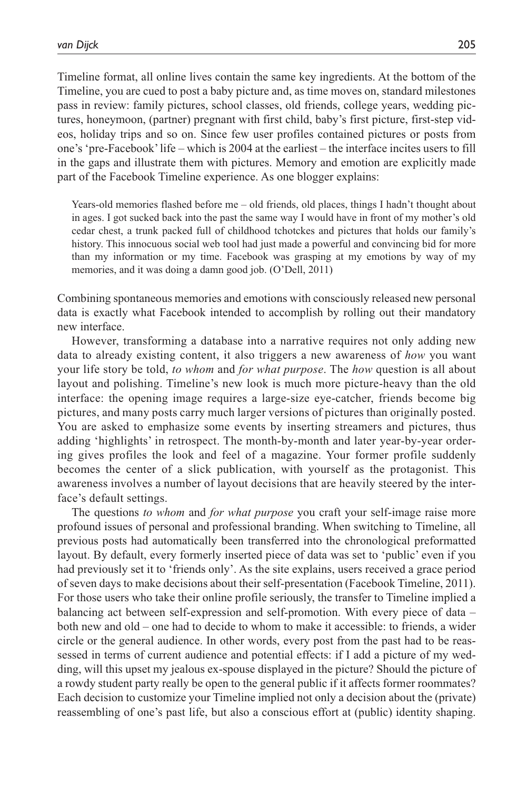Timeline format, all online lives contain the same key ingredients. At the bottom of the Timeline, you are cued to post a baby picture and, as time moves on, standard milestones pass in review: family pictures, school classes, old friends, college years, wedding pictures, honeymoon, (partner) pregnant with first child, baby's first picture, first-step videos, holiday trips and so on. Since few user profiles contained pictures or posts from one's 'pre-Facebook' life – which is 2004 at the earliest – the interface incites users to fill in the gaps and illustrate them with pictures. Memory and emotion are explicitly made part of the Facebook Timeline experience. As one blogger explains:

Years-old memories flashed before me – old friends, old places, things I hadn't thought about in ages. I got sucked back into the past the same way I would have in front of my mother's old cedar chest, a trunk packed full of childhood tchotckes and pictures that holds our family's history. This innocuous social web tool had just made a powerful and convincing bid for more than my information or my time. Facebook was grasping at my emotions by way of my memories, and it was doing a damn good job. (O'Dell, 2011)

Combining spontaneous memories and emotions with consciously released new personal data is exactly what Facebook intended to accomplish by rolling out their mandatory new interface.

However, transforming a database into a narrative requires not only adding new data to already existing content, it also triggers a new awareness of *how* you want your life story be told, *to whom* and *for what purpose*. The *how* question is all about layout and polishing. Timeline's new look is much more picture-heavy than the old interface: the opening image requires a large-size eye-catcher, friends become big pictures, and many posts carry much larger versions of pictures than originally posted. You are asked to emphasize some events by inserting streamers and pictures, thus adding 'highlights' in retrospect. The month-by-month and later year-by-year ordering gives profiles the look and feel of a magazine. Your former profile suddenly becomes the center of a slick publication, with yourself as the protagonist. This awareness involves a number of layout decisions that are heavily steered by the interface's default settings.

The questions *to whom* and *for what purpose* you craft your self-image raise more profound issues of personal and professional branding. When switching to Timeline, all previous posts had automatically been transferred into the chronological preformatted layout. By default, every formerly inserted piece of data was set to 'public' even if you had previously set it to 'friends only'. As the site explains, users received a grace period of seven days to make decisions about their self-presentation (Facebook Timeline, 2011). For those users who take their online profile seriously, the transfer to Timeline implied a balancing act between self-expression and self-promotion. With every piece of data – both new and old – one had to decide to whom to make it accessible: to friends, a wider circle or the general audience. In other words, every post from the past had to be reassessed in terms of current audience and potential effects: if I add a picture of my wedding, will this upset my jealous ex-spouse displayed in the picture? Should the picture of a rowdy student party really be open to the general public if it affects former roommates? Each decision to customize your Timeline implied not only a decision about the (private) reassembling of one's past life, but also a conscious effort at (public) identity shaping.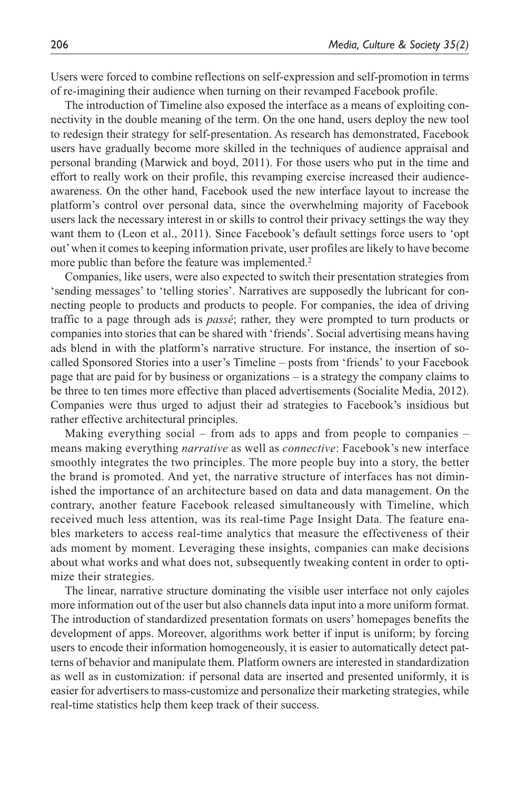Users were forced to combine reflections on self-expression and self-promotion in terms of re-imagining their audience when turning on their revamped Facebook profile.

The introduction of Timeline also exposed the interface as a means of exploiting connectivity in the double meaning of the term. On the one hand, users deploy the new tool to redesign their strategy for self-presentation. As research has demonstrated, Facebook users have gradually become more skilled in the techniques of audience appraisal and personal branding (Marwick and boyd, 2011). For those users who put in the time and effort to really work on their profile, this revamping exercise increased their audienceawareness. On the other hand, Facebook used the new interface layout to increase the platform's control over personal data, since the overwhelming majority of Facebook users lack the necessary interest in or skills to control their privacy settings the way they want them to (Leon et al., 2011). Since Facebook's default settings force users to 'opt out' when it comes to keeping information private, user profiles are likely to have become more public than before the feature was implemented.<sup>2</sup>

Companies, like users, were also expected to switch their presentation strategies from 'sending messages' to 'telling stories'. Narratives are supposedly the lubricant for connecting people to products and products to people. For companies, the idea of driving traffic to a page through ads is *passé*; rather, they were prompted to turn products or companies into stories that can be shared with 'friends'. Social advertising means having ads blend in with the platform's narrative structure. For instance, the insertion of socalled Sponsored Stories into a user's Timeline – posts from 'friends' to your Facebook page that are paid for by business or organizations – is a strategy the company claims to be three to ten times more effective than placed advertisements (Socialite Media, 2012). Companies were thus urged to adjust their ad strategies to Facebook's insidious but rather effective architectural principles.

Making everything social – from ads to apps and from people to companies – means making everything *narrative* as well as *connective*: Facebook's new interface smoothly integrates the two principles. The more people buy into a story, the better the brand is promoted. And yet, the narrative structure of interfaces has not diminished the importance of an architecture based on data and data management. On the contrary, another feature Facebook released simultaneously with Timeline, which received much less attention, was its real-time Page Insight Data. The feature enables marketers to access real-time analytics that measure the effectiveness of their ads moment by moment. Leveraging these insights, companies can make decisions about what works and what does not, subsequently tweaking content in order to optimize their strategies.

The linear, narrative structure dominating the visible user interface not only cajoles more information out of the user but also channels data input into a more uniform format. The introduction of standardized presentation formats on users' homepages benefits the development of apps. Moreover, algorithms work better if input is uniform; by forcing users to encode their information homogeneously, it is easier to automatically detect patterns of behavior and manipulate them. Platform owners are interested in standardization as well as in customization: if personal data are inserted and presented uniformly, it is easier for advertisers to mass-customize and personalize their marketing strategies, while real-time statistics help them keep track of their success.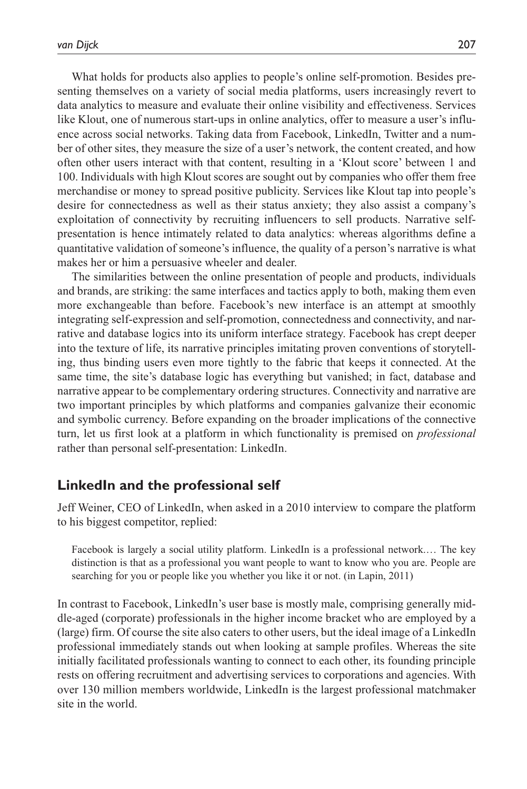What holds for products also applies to people's online self-promotion. Besides presenting themselves on a variety of social media platforms, users increasingly revert to data analytics to measure and evaluate their online visibility and effectiveness. Services like Klout, one of numerous start-ups in online analytics, offer to measure a user's influence across social networks. Taking data from Facebook, LinkedIn, Twitter and a number of other sites, they measure the size of a user's network, the content created, and how often other users interact with that content, resulting in a 'Klout score' between 1 and 100. Individuals with high Klout scores are sought out by companies who offer them free merchandise or money to spread positive publicity. Services like Klout tap into people's desire for connectedness as well as their status anxiety; they also assist a company's exploitation of connectivity by recruiting influencers to sell products. Narrative selfpresentation is hence intimately related to data analytics: whereas algorithms define a quantitative validation of someone's influence, the quality of a person's narrative is what makes her or him a persuasive wheeler and dealer.

The similarities between the online presentation of people and products, individuals and brands, are striking: the same interfaces and tactics apply to both, making them even more exchangeable than before. Facebook's new interface is an attempt at smoothly integrating self-expression and self-promotion, connectedness and connectivity, and narrative and database logics into its uniform interface strategy. Facebook has crept deeper into the texture of life, its narrative principles imitating proven conventions of storytelling, thus binding users even more tightly to the fabric that keeps it connected. At the same time, the site's database logic has everything but vanished; in fact, database and narrative appear to be complementary ordering structures. Connectivity and narrative are two important principles by which platforms and companies galvanize their economic and symbolic currency. Before expanding on the broader implications of the connective turn, let us first look at a platform in which functionality is premised on *professional* rather than personal self-presentation: LinkedIn.

#### **LinkedIn and the professional self**

Jeff Weiner, CEO of LinkedIn, when asked in a 2010 interview to compare the platform to his biggest competitor, replied:

Facebook is largely a social utility platform. LinkedIn is a professional network.… The key distinction is that as a professional you want people to want to know who you are. People are searching for you or people like you whether you like it or not. (in Lapin, 2011)

In contrast to Facebook, LinkedIn's user base is mostly male, comprising generally middle-aged (corporate) professionals in the higher income bracket who are employed by a (large) firm. Of course the site also caters to other users, but the ideal image of a LinkedIn professional immediately stands out when looking at sample profiles. Whereas the site initially facilitated professionals wanting to connect to each other, its founding principle rests on offering recruitment and advertising services to corporations and agencies. With over 130 million members worldwide, LinkedIn is the largest professional matchmaker site in the world.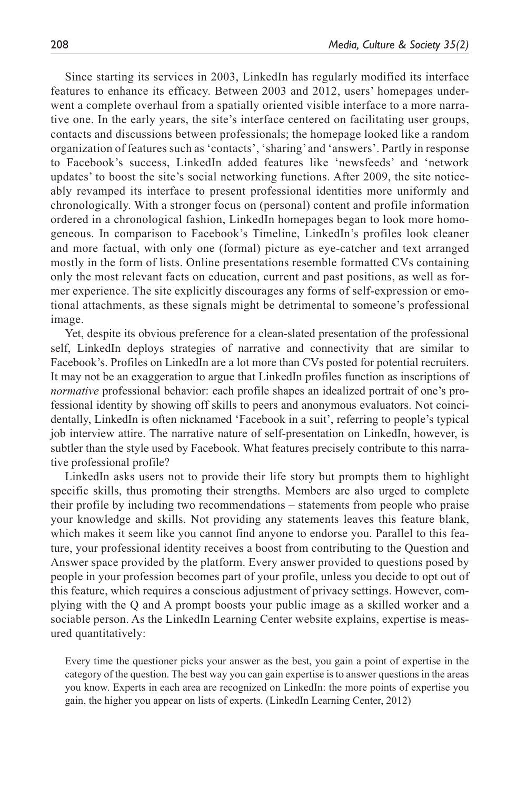Since starting its services in 2003, LinkedIn has regularly modified its interface features to enhance its efficacy. Between 2003 and 2012, users' homepages underwent a complete overhaul from a spatially oriented visible interface to a more narrative one. In the early years, the site's interface centered on facilitating user groups, contacts and discussions between professionals; the homepage looked like a random organization of features such as 'contacts', 'sharing' and 'answers'. Partly in response to Facebook's success, LinkedIn added features like 'newsfeeds' and 'network updates' to boost the site's social networking functions. After 2009, the site noticeably revamped its interface to present professional identities more uniformly and chronologically. With a stronger focus on (personal) content and profile information ordered in a chronological fashion, LinkedIn homepages began to look more homogeneous. In comparison to Facebook's Timeline, LinkedIn's profiles look cleaner and more factual, with only one (formal) picture as eye-catcher and text arranged mostly in the form of lists. Online presentations resemble formatted CVs containing only the most relevant facts on education, current and past positions, as well as former experience. The site explicitly discourages any forms of self-expression or emotional attachments, as these signals might be detrimental to someone's professional image.

Yet, despite its obvious preference for a clean-slated presentation of the professional self, LinkedIn deploys strategies of narrative and connectivity that are similar to Facebook's. Profiles on LinkedIn are a lot more than CVs posted for potential recruiters. It may not be an exaggeration to argue that LinkedIn profiles function as inscriptions of *normative* professional behavior: each profile shapes an idealized portrait of one's professional identity by showing off skills to peers and anonymous evaluators. Not coincidentally, LinkedIn is often nicknamed 'Facebook in a suit', referring to people's typical job interview attire. The narrative nature of self-presentation on LinkedIn, however, is subtler than the style used by Facebook. What features precisely contribute to this narrative professional profile?

LinkedIn asks users not to provide their life story but prompts them to highlight specific skills, thus promoting their strengths. Members are also urged to complete their profile by including two recommendations – statements from people who praise your knowledge and skills. Not providing any statements leaves this feature blank, which makes it seem like you cannot find anyone to endorse you. Parallel to this feature, your professional identity receives a boost from contributing to the Question and Answer space provided by the platform. Every answer provided to questions posed by people in your profession becomes part of your profile, unless you decide to opt out of this feature, which requires a conscious adjustment of privacy settings. However, complying with the Q and A prompt boosts your public image as a skilled worker and a sociable person. As the LinkedIn Learning Center website explains, expertise is measured quantitatively:

Every time the questioner picks your answer as the best, you gain a point of expertise in the category of the question. The best way you can gain expertise is to answer questions in the areas you know. Experts in each area are recognized on LinkedIn: the more points of expertise you gain, the higher you appear on lists of experts. (LinkedIn Learning Center, 2012)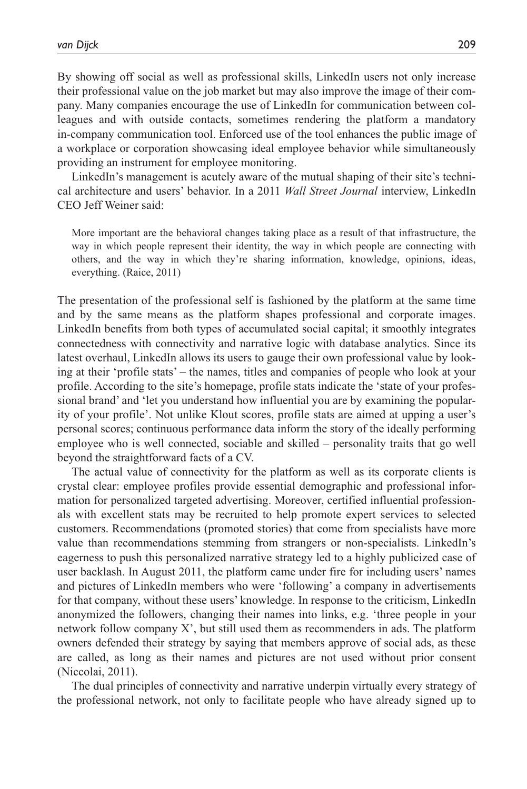By showing off social as well as professional skills, LinkedIn users not only increase their professional value on the job market but may also improve the image of their company. Many companies encourage the use of LinkedIn for communication between colleagues and with outside contacts, sometimes rendering the platform a mandatory in-company communication tool. Enforced use of the tool enhances the public image of a workplace or corporation showcasing ideal employee behavior while simultaneously providing an instrument for employee monitoring.

LinkedIn's management is acutely aware of the mutual shaping of their site's technical architecture and users' behavior. In a 2011 *Wall Street Journal* interview, LinkedIn CEO Jeff Weiner said:

More important are the behavioral changes taking place as a result of that infrastructure, the way in which people represent their identity, the way in which people are connecting with others, and the way in which they're sharing information, knowledge, opinions, ideas, everything. (Raice, 2011)

The presentation of the professional self is fashioned by the platform at the same time and by the same means as the platform shapes professional and corporate images. LinkedIn benefits from both types of accumulated social capital; it smoothly integrates connectedness with connectivity and narrative logic with database analytics. Since its latest overhaul, LinkedIn allows its users to gauge their own professional value by looking at their 'profile stats' – the names, titles and companies of people who look at your profile. According to the site's homepage, profile stats indicate the 'state of your professional brand' and 'let you understand how influential you are by examining the popularity of your profile'. Not unlike Klout scores, profile stats are aimed at upping a user's personal scores; continuous performance data inform the story of the ideally performing employee who is well connected, sociable and skilled – personality traits that go well beyond the straightforward facts of a CV.

The actual value of connectivity for the platform as well as its corporate clients is crystal clear: employee profiles provide essential demographic and professional information for personalized targeted advertising. Moreover, certified influential professionals with excellent stats may be recruited to help promote expert services to selected customers. Recommendations (promoted stories) that come from specialists have more value than recommendations stemming from strangers or non-specialists. LinkedIn's eagerness to push this personalized narrative strategy led to a highly publicized case of user backlash. In August 2011, the platform came under fire for including users' names and pictures of LinkedIn members who were 'following' a company in advertisements for that company, without these users' knowledge. In response to the criticism, LinkedIn anonymized the followers, changing their names into links, e.g. 'three people in your network follow company X', but still used them as recommenders in ads. The platform owners defended their strategy by saying that members approve of social ads, as these are called, as long as their names and pictures are not used without prior consent (Niccolai, 2011).

The dual principles of connectivity and narrative underpin virtually every strategy of the professional network, not only to facilitate people who have already signed up to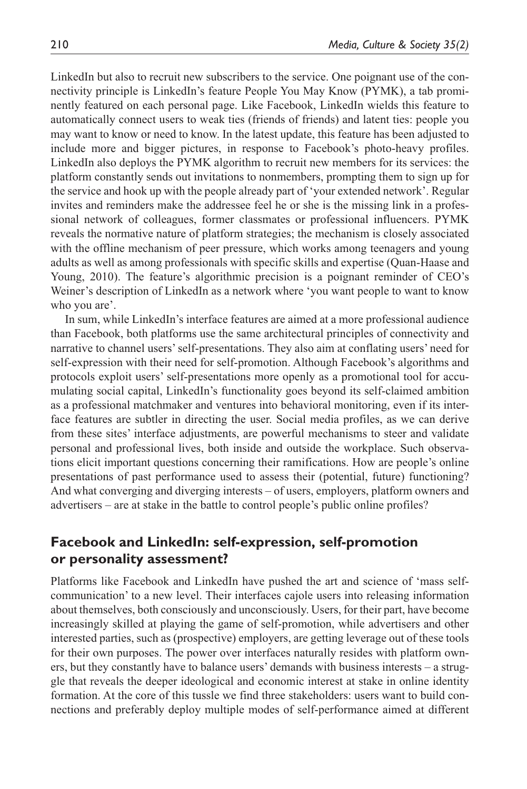LinkedIn but also to recruit new subscribers to the service. One poignant use of the connectivity principle is LinkedIn's feature People You May Know (PYMK), a tab prominently featured on each personal page. Like Facebook, LinkedIn wields this feature to automatically connect users to weak ties (friends of friends) and latent ties: people you may want to know or need to know. In the latest update, this feature has been adjusted to include more and bigger pictures, in response to Facebook's photo-heavy profiles. LinkedIn also deploys the PYMK algorithm to recruit new members for its services: the platform constantly sends out invitations to nonmembers, prompting them to sign up for the service and hook up with the people already part of 'your extended network'. Regular invites and reminders make the addressee feel he or she is the missing link in a professional network of colleagues, former classmates or professional influencers. PYMK reveals the normative nature of platform strategies; the mechanism is closely associated with the offline mechanism of peer pressure, which works among teenagers and young adults as well as among professionals with specific skills and expertise (Quan-Haase and Young, 2010). The feature's algorithmic precision is a poignant reminder of CEO's Weiner's description of LinkedIn as a network where 'you want people to want to know who you are'.

In sum, while LinkedIn's interface features are aimed at a more professional audience than Facebook, both platforms use the same architectural principles of connectivity and narrative to channel users' self-presentations. They also aim at conflating users' need for self-expression with their need for self-promotion. Although Facebook's algorithms and protocols exploit users' self-presentations more openly as a promotional tool for accumulating social capital, LinkedIn's functionality goes beyond its self-claimed ambition as a professional matchmaker and ventures into behavioral monitoring, even if its interface features are subtler in directing the user. Social media profiles, as we can derive from these sites' interface adjustments, are powerful mechanisms to steer and validate personal and professional lives, both inside and outside the workplace. Such observations elicit important questions concerning their ramifications. How are people's online presentations of past performance used to assess their (potential, future) functioning? And what converging and diverging interests – of users, employers, platform owners and advertisers – are at stake in the battle to control people's public online profiles?

# **Facebook and LinkedIn: self-expression, self-promotion or personality assessment?**

Platforms like Facebook and LinkedIn have pushed the art and science of 'mass selfcommunication' to a new level. Their interfaces cajole users into releasing information about themselves, both consciously and unconsciously. Users, for their part, have become increasingly skilled at playing the game of self-promotion, while advertisers and other interested parties, such as (prospective) employers, are getting leverage out of these tools for their own purposes. The power over interfaces naturally resides with platform owners, but they constantly have to balance users' demands with business interests – a struggle that reveals the deeper ideological and economic interest at stake in online identity formation. At the core of this tussle we find three stakeholders: users want to build connections and preferably deploy multiple modes of self-performance aimed at different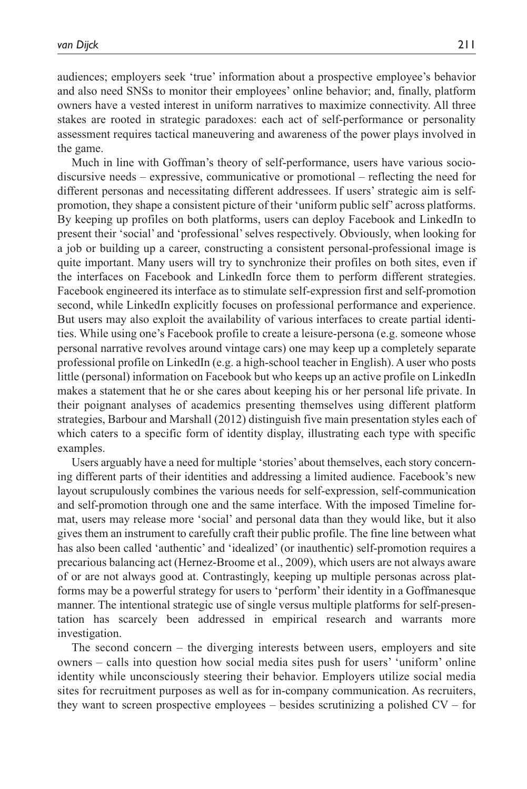audiences; employers seek 'true' information about a prospective employee's behavior and also need SNSs to monitor their employees' online behavior; and, finally, platform owners have a vested interest in uniform narratives to maximize connectivity. All three stakes are rooted in strategic paradoxes: each act of self-performance or personality assessment requires tactical maneuvering and awareness of the power plays involved in the game.

Much in line with Goffman's theory of self-performance, users have various sociodiscursive needs – expressive, communicative or promotional – reflecting the need for different personas and necessitating different addressees. If users' strategic aim is selfpromotion, they shape a consistent picture of their 'uniform public self' across platforms. By keeping up profiles on both platforms, users can deploy Facebook and LinkedIn to present their 'social' and 'professional' selves respectively. Obviously, when looking for a job or building up a career, constructing a consistent personal-professional image is quite important. Many users will try to synchronize their profiles on both sites, even if the interfaces on Facebook and LinkedIn force them to perform different strategies. Facebook engineered its interface as to stimulate self-expression first and self-promotion second, while LinkedIn explicitly focuses on professional performance and experience. But users may also exploit the availability of various interfaces to create partial identities. While using one's Facebook profile to create a leisure-persona (e.g. someone whose personal narrative revolves around vintage cars) one may keep up a completely separate professional profile on LinkedIn (e.g. a high-school teacher in English). A user who posts little (personal) information on Facebook but who keeps up an active profile on LinkedIn makes a statement that he or she cares about keeping his or her personal life private. In their poignant analyses of academics presenting themselves using different platform strategies, Barbour and Marshall (2012) distinguish five main presentation styles each of which caters to a specific form of identity display, illustrating each type with specific examples.

Users arguably have a need for multiple 'stories' about themselves, each story concerning different parts of their identities and addressing a limited audience. Facebook's new layout scrupulously combines the various needs for self-expression, self-communication and self-promotion through one and the same interface. With the imposed Timeline format, users may release more 'social' and personal data than they would like, but it also gives them an instrument to carefully craft their public profile. The fine line between what has also been called 'authentic' and 'idealized' (or inauthentic) self-promotion requires a precarious balancing act (Hernez-Broome et al., 2009), which users are not always aware of or are not always good at. Contrastingly, keeping up multiple personas across platforms may be a powerful strategy for users to 'perform' their identity in a Goffmanesque manner. The intentional strategic use of single versus multiple platforms for self-presentation has scarcely been addressed in empirical research and warrants more investigation.

The second concern – the diverging interests between users, employers and site owners – calls into question how social media sites push for users' 'uniform' online identity while unconsciously steering their behavior. Employers utilize social media sites for recruitment purposes as well as for in-company communication. As recruiters, they want to screen prospective employees – besides scrutinizing a polished CV – for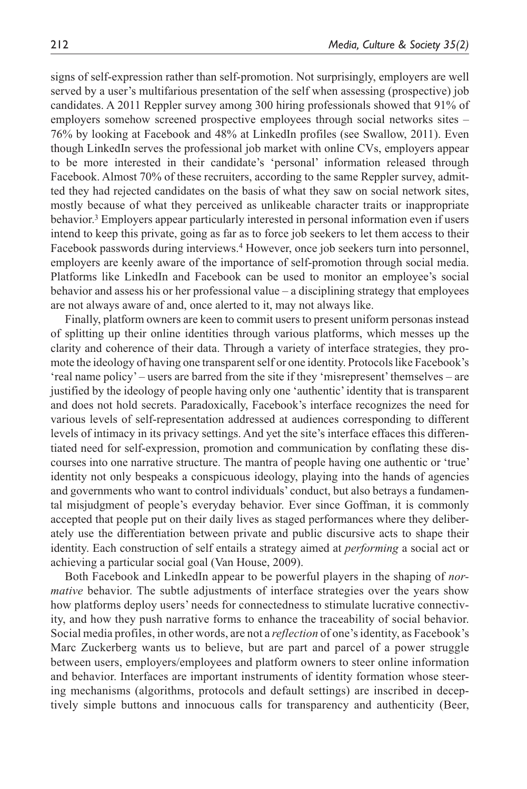signs of self-expression rather than self-promotion. Not surprisingly, employers are well served by a user's multifarious presentation of the self when assessing (prospective) job candidates. A 2011 Reppler survey among 300 hiring professionals showed that 91% of employers somehow screened prospective employees through social networks sites – 76% by looking at Facebook and 48% at LinkedIn profiles (see Swallow, 2011). Even though LinkedIn serves the professional job market with online CVs, employers appear to be more interested in their candidate's 'personal' information released through Facebook. Almost 70% of these recruiters, according to the same Reppler survey, admitted they had rejected candidates on the basis of what they saw on social network sites, mostly because of what they perceived as unlikeable character traits or inappropriate behavior.3 Employers appear particularly interested in personal information even if users intend to keep this private, going as far as to force job seekers to let them access to their Facebook passwords during interviews.4 However, once job seekers turn into personnel, employers are keenly aware of the importance of self-promotion through social media. Platforms like LinkedIn and Facebook can be used to monitor an employee's social behavior and assess his or her professional value – a disciplining strategy that employees are not always aware of and, once alerted to it, may not always like.

Finally, platform owners are keen to commit users to present uniform personas instead of splitting up their online identities through various platforms, which messes up the clarity and coherence of their data. Through a variety of interface strategies, they promote the ideology of having one transparent self or one identity. Protocols like Facebook's 'real name policy' – users are barred from the site if they 'misrepresent' themselves – are justified by the ideology of people having only one 'authentic' identity that is transparent and does not hold secrets. Paradoxically, Facebook's interface recognizes the need for various levels of self-representation addressed at audiences corresponding to different levels of intimacy in its privacy settings. And yet the site's interface effaces this differentiated need for self-expression, promotion and communication by conflating these discourses into one narrative structure. The mantra of people having one authentic or 'true' identity not only bespeaks a conspicuous ideology, playing into the hands of agencies and governments who want to control individuals' conduct, but also betrays a fundamental misjudgment of people's everyday behavior. Ever since Goffman, it is commonly accepted that people put on their daily lives as staged performances where they deliberately use the differentiation between private and public discursive acts to shape their identity. Each construction of self entails a strategy aimed at *performing* a social act or achieving a particular social goal (Van House, 2009).

Both Facebook and LinkedIn appear to be powerful players in the shaping of *normative* behavior. The subtle adjustments of interface strategies over the years show how platforms deploy users' needs for connectedness to stimulate lucrative connectivity, and how they push narrative forms to enhance the traceability of social behavior. Social media profiles, in other words, are not a *reflection* of one's identity, as Facebook's Marc Zuckerberg wants us to believe, but are part and parcel of a power struggle between users, employers/employees and platform owners to steer online information and behavior. Interfaces are important instruments of identity formation whose steering mechanisms (algorithms, protocols and default settings) are inscribed in deceptively simple buttons and innocuous calls for transparency and authenticity (Beer,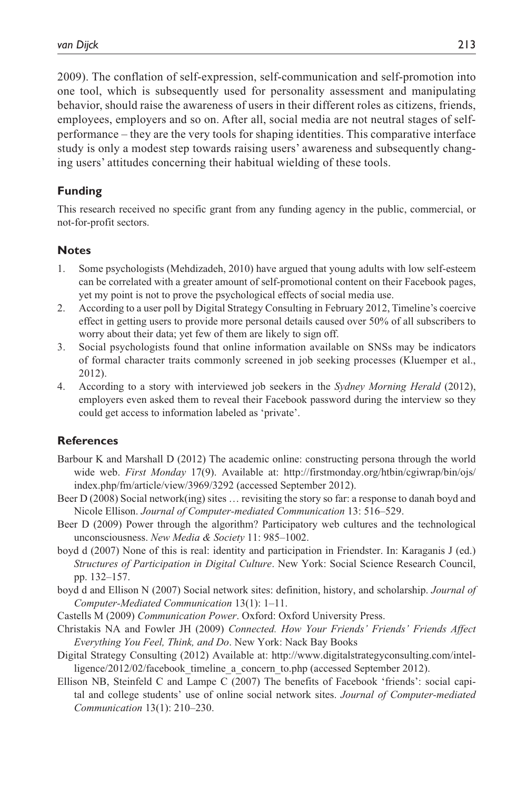2009). The conflation of self-expression, self-communication and self-promotion into one tool, which is subsequently used for personality assessment and manipulating behavior, should raise the awareness of users in their different roles as citizens, friends, employees, employers and so on. After all, social media are not neutral stages of selfperformance – they are the very tools for shaping identities. This comparative interface study is only a modest step towards raising users' awareness and subsequently changing users' attitudes concerning their habitual wielding of these tools.

### **Funding**

This research received no specific grant from any funding agency in the public, commercial, or not-for-profit sectors.

#### **Notes**

- 1. Some psychologists (Mehdizadeh, 2010) have argued that young adults with low self-esteem can be correlated with a greater amount of self-promotional content on their Facebook pages, yet my point is not to prove the psychological effects of social media use.
- 2. According to a user poll by Digital Strategy Consulting in February 2012, Timeline's coercive effect in getting users to provide more personal details caused over 50% of all subscribers to worry about their data; yet few of them are likely to sign off.
- 3. Social psychologists found that online information available on SNSs may be indicators of formal character traits commonly screened in job seeking processes (Kluemper et al., 2012).
- 4. According to a story with interviewed job seekers in the *Sydney Morning Herald* (2012), employers even asked them to reveal their Facebook password during the interview so they could get access to information labeled as 'private'.

#### **References**

- Barbour K and Marshall D (2012) The academic online: constructing persona through the world wide web. *First Monday* 17(9). Available at: http://firstmonday.org/htbin/cgiwrap/bin/ojs/ index.php/fm/article/view/3969/3292 (accessed September 2012).
- Beer D (2008) Social network(ing) sites … revisiting the story so far: a response to danah boyd and Nicole Ellison. *Journal of Computer-mediated Communication* 13: 516–529.
- Beer D (2009) Power through the algorithm? Participatory web cultures and the technological unconsciousness. *New Media & Society* 11: 985–1002.
- boyd d (2007) None of this is real: identity and participation in Friendster. In: Karaganis J (ed.) *Structures of Participation in Digital Culture*. New York: Social Science Research Council, pp. 132–157.
- boyd d and Ellison N (2007) Social network sites: definition, history, and scholarship. *Journal of Computer-Mediated Communication* 13(1): 1–11.
- Castells M (2009) *Communication Power*. Oxford: Oxford University Press.
- Christakis NA and Fowler JH (2009) *Connected. How Your Friends' Friends' Friends Affect Everything You Feel, Think, and Do*. New York: Nack Bay Books
- Digital Strategy Consulting (2012) Available at: http://www.digitalstrategyconsulting.com/intelligence/2012/02/facebook timeline a concern to.php (accessed September 2012).
- Ellison NB, Steinfeld C and Lampe C (2007) The benefits of Facebook 'friends': social capital and college students' use of online social network sites. *Journal of Computer-mediated Communication* 13(1): 210–230.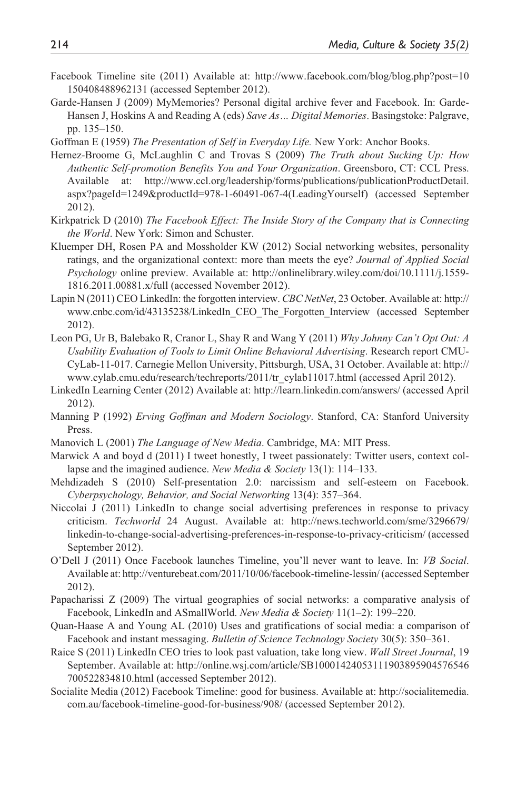- Facebook Timeline site (2011) Available at: http://www.facebook.com/blog/blog.php?post=10 150408488962131 (accessed September 2012).
- Garde-Hansen J (2009) MyMemories? Personal digital archive fever and Facebook. In: Garde-Hansen J, Hoskins A and Reading A (eds) *Save As… Digital Memories*. Basingstoke: Palgrave, pp. 135–150.
- Goffman E (1959) *The Presentation of Self in Everyday Life.* New York: Anchor Books.
- Hernez-Broome G, McLaughlin C and Trovas S (2009) *The Truth about Sucking Up: How Authentic Self-promotion Benefits You and Your Organization*. Greensboro, CT: CCL Press. Available at: http://www.ccl.org/leadership/forms/publications/publicationProductDetail. aspx?pageId=1249&productId=978-1-60491-067-4(LeadingYourself) (accessed September 2012).
- Kirkpatrick D (2010) *The Facebook Effect: The Inside Story of the Company that is Connecting the World*. New York: Simon and Schuster.
- Kluemper DH, Rosen PA and Mossholder KW (2012) Social networking websites, personality ratings, and the organizational context: more than meets the eye? *Journal of Applied Social Psychology* online preview. Available at: http://onlinelibrary.wiley.com/doi/10.1111/j.1559- 1816.2011.00881.x/full (accessed November 2012).
- Lapin N (2011) CEO LinkedIn: the forgotten interview. *CBC NetNet*, 23 October. Available at: http:// www.cnbc.com/id/43135238/LinkedIn\_CEO\_The\_Forgotten\_Interview (accessed September 2012).
- Leon PG, Ur B, Balebako R, Cranor L, Shay R and Wang Y (2011) *Why Johnny Can't Opt Out: A Usability Evaluation of Tools to Limit Online Behavioral Advertising*. Research report CMU-CyLab-11-017. Carnegie Mellon University, Pittsburgh, USA, 31 October. Available at: http:// www.cylab.cmu.edu/research/techreports/2011/tr\_cylab11017.html (accessed April 2012).
- LinkedIn Learning Center (2012) Available at: http://learn.linkedin.com/answers/ (accessed April 2012).
- Manning P (1992) *Erving Goffman and Modern Sociology*. Stanford, CA: Stanford University Press.
- Manovich L (2001) *The Language of New Media*. Cambridge, MA: MIT Press.
- Marwick A and boyd d (2011) I tweet honestly, I tweet passionately: Twitter users, context collapse and the imagined audience. *New Media & Society* 13(1): 114–133.
- Mehdizadeh S (2010) Self-presentation 2.0: narcissism and self-esteem on Facebook. *Cyberpsychology, Behavior, and Social Networking* 13(4): 357–364.
- Niccolai J (2011) LinkedIn to change social advertising preferences in response to privacy criticism. *Techworld* 24 August. Available at: http://news.techworld.com/sme/3296679/ linkedin-to-change-social-advertising-preferences-in-response-to-privacy-criticism/ (accessed September 2012).
- O'Dell J (2011) Once Facebook launches Timeline, you'll never want to leave. In: *VB Social*. Available at: http://venturebeat.com/2011/10/06/facebook-timeline-lessin/ (accessed September 2012).
- Papacharissi Z (2009) The virtual geographies of social networks: a comparative analysis of Facebook, LinkedIn and ASmallWorld. *New Media & Society* 11(1–2): 199–220.
- Quan-Haase A and Young AL (2010) Uses and gratifications of social media: a comparison of Facebook and instant messaging. *Bulletin of Science Technology Society* 30(5): 350–361.
- Raice S (2011) LinkedIn CEO tries to look past valuation, take long view. *Wall Street Journal*, 19 September. Available at: http://online.wsj.com/article/SB10001424053111903895904576546 700522834810.html (accessed September 2012).
- Socialite Media (2012) Facebook Timeline: good for business. Available at: http://socialitemedia. com.au/facebook-timeline-good-for-business/908/ (accessed September 2012).